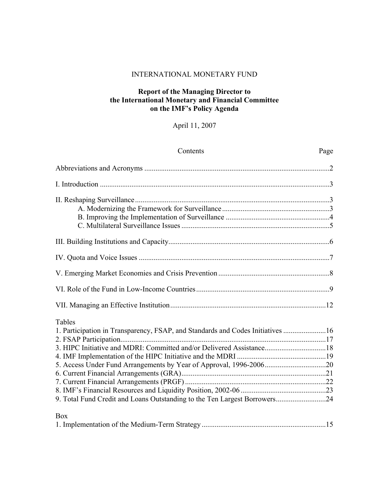#### INTERNATIONAL MONETARY FUND

#### **Report of the Managing Director to the International Monetary and Financial Committee on the IMF's Policy Agenda**

# April 11, 2007

| Contents                                                                                                                                                                                                                                      | Page |
|-----------------------------------------------------------------------------------------------------------------------------------------------------------------------------------------------------------------------------------------------|------|
|                                                                                                                                                                                                                                               |      |
|                                                                                                                                                                                                                                               |      |
|                                                                                                                                                                                                                                               |      |
|                                                                                                                                                                                                                                               |      |
|                                                                                                                                                                                                                                               |      |
|                                                                                                                                                                                                                                               |      |
|                                                                                                                                                                                                                                               |      |
|                                                                                                                                                                                                                                               |      |
| Tables<br>1. Participation in Transparency, FSAP, and Standards and Codes Initiatives 16<br>3. HIPC Initiative and MDRI: Committed and/or Delivered Assistance18<br>9. Total Fund Credit and Loans Outstanding to the Ten Largest Borrowers24 |      |
| <b>Box</b>                                                                                                                                                                                                                                    |      |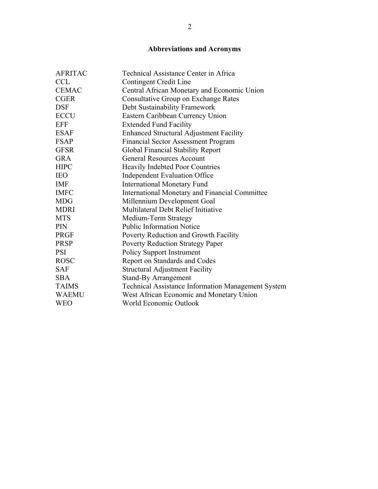# **Abbreviations and Acronyms**

| <b>AFRITAC</b> | Technical Assistance Center in Africa                     |
|----------------|-----------------------------------------------------------|
| <b>CCL</b>     | Contingent Credit Line                                    |
| <b>CEMAC</b>   | Central African Monetary and Economic Union               |
| <b>CGER</b>    | <b>Consultative Group on Exchange Rates</b>               |
| <b>DSF</b>     | Debt Sustainability Framework                             |
| <b>ECCU</b>    | Eastern Caribbean Currency Union                          |
| <b>EFF</b>     | <b>Extended Fund Facility</b>                             |
| <b>ESAF</b>    | <b>Enhanced Structural Adjustment Facility</b>            |
| <b>FSAP</b>    | <b>Financial Sector Assessment Program</b>                |
| <b>GFSR</b>    | Global Financial Stability Report                         |
| <b>GRA</b>     | <b>General Resources Account</b>                          |
| <b>HIPC</b>    | <b>Heavily Indebted Poor Countries</b>                    |
| <b>IEO</b>     | <b>Independent Evaluation Office</b>                      |
| <b>IMF</b>     | <b>International Monetary Fund</b>                        |
| <b>IMFC</b>    | <b>International Monetary and Financial Committee</b>     |
| <b>MDG</b>     | Millennium Development Goal                               |
| <b>MDRI</b>    | Multilateral Debt Relief Initiative                       |
| <b>MTS</b>     | Medium-Term Strategy                                      |
| <b>PIN</b>     | <b>Public Information Notice</b>                          |
| <b>PRGF</b>    | Poverty Reduction and Growth Facility                     |
| <b>PRSP</b>    | Poverty Reduction Strategy Paper                          |
| <b>PSI</b>     | <b>Policy Support Instrument</b>                          |
| <b>ROSC</b>    | Report on Standards and Codes                             |
| <b>SAF</b>     | <b>Structural Adjustment Facility</b>                     |
| <b>SBA</b>     | <b>Stand-By Arrangement</b>                               |
| <b>TAIMS</b>   | <b>Technical Assistance Information Management System</b> |
| <b>WAEMU</b>   | West African Economic and Monetary Union                  |
| <b>WEO</b>     | World Economic Outlook                                    |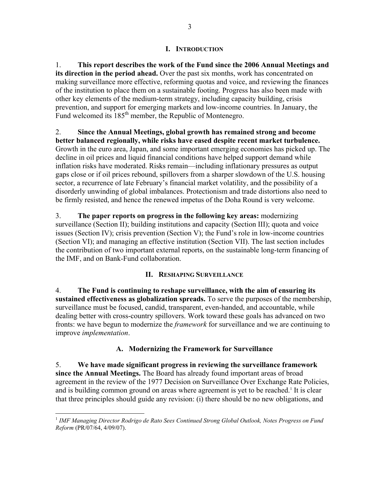#### **I. INTRODUCTION**

1. **This report describes the work of the Fund since the 2006 Annual Meetings and its direction in the period ahead.** Over the past six months, work has concentrated on making surveillance more effective, reforming quotas and voice, and reviewing the finances of the institution to place them on a sustainable footing. Progress has also been made with other key elements of the medium-term strategy, including capacity building, crisis prevention, and support for emerging markets and low-income countries. In January, the Fund welcomed its 185<sup>th</sup> member, the Republic of Montenegro.

2. **Since the Annual Meetings, global growth has remained strong and become better balanced regionally, while risks have eased despite recent market turbulence.** Growth in the euro area, Japan, and some important emerging economies has picked up. The decline in oil prices and liquid financial conditions have helped support demand while inflation risks have moderated. Risks remain—including inflationary pressures as output gaps close or if oil prices rebound, spillovers from a sharper slowdown of the U.S. housing sector, a recurrence of late February's financial market volatility, and the possibility of a disorderly unwinding of global imbalances. Protectionism and trade distortions also need to be firmly resisted, and hence the renewed impetus of the Doha Round is very welcome.

3. **The paper reports on progress in the following key areas:** modernizing surveillance (Section II); building institutions and capacity (Section III); quota and voice issues (Section IV); crisis prevention (Section V); the Fund's role in low-income countries (Section VI); and managing an effective institution (Section VII). The last section includes the contribution of two important external reports, on the sustainable long-term financing of the IMF, and on Bank-Fund collaboration.

#### **II. RESHAPING SURVEILLANCE**

4. **The Fund is continuing to reshape surveillance, with the aim of ensuring its sustained effectiveness as globalization spreads.** To serve the purposes of the membership, surveillance must be focused, candid, transparent, even-handed, and accountable, while dealing better with cross-country spillovers. Work toward these goals has advanced on two fronts: we have begun to modernize the *framework* for surveillance and we are continuing to improve *implementation*.

#### **A. Modernizing the Framework for Surveillance**

5. **We have made significant progress in reviewing the surveillance framework since the Annual Meetings.** The Board has already found important areas of broad agreement in the review of the 1977 Decision on Surveillance Over Exchange Rate Policies, and is building common ground on areas where agreement is yet to be reached.<sup>1</sup> It is clear that three principles should guide any revision: (i) there should be no new obligations, and

 $\overline{a}$ 

<sup>&</sup>lt;sup>1</sup> IMF Managing Director Rodrigo de Rato Sees Continued Strong Global Outlook, Notes Progress on Fund *Reform* (PR/07/64, 4/09/07).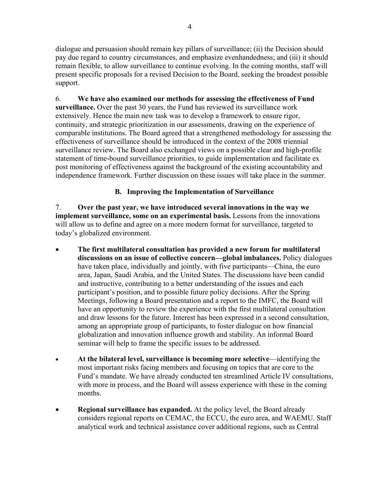dialogue and persuasion should remain key pillars of surveillance; (ii) the Decision should pay due regard to country circumstances, and emphasize evenhandedness; and (iii) it should remain flexible, to allow surveillance to continue evolving. In the coming months, staff will present specific proposals for a revised Decision to the Board, seeking the broadest possible support.

6. **We have also examined our methods for assessing the effectiveness of Fund surveillance.** Over the past 30 years, the Fund has reviewed its surveillance work extensively. Hence the main new task was to develop a framework to ensure rigor, continuity, and strategic prioritization in our assessments, drawing on the experience of comparable institutions. The Board agreed that a strengthened methodology for assessing the effectiveness of surveillance should be introduced in the context of the 2008 triennial surveillance review. The Board also exchanged views on a possible clear and high-profile statement of time-bound surveillance priorities, to guide implementation and facilitate ex post monitoring of effectiveness against the background of the existing accountability and independence framework. Further discussion on these issues will take place in the summer.

### **B. Improving the Implementation of Surveillance**

7. **Over the past year, we have introduced several innovations in the way we implement surveillance, some on an experimental basis.** Lessons from the innovations will allow us to define and agree on a more modern format for surveillance, targeted to today's globalized environment.

- **The first multilateral consultation has provided a new forum for multilateral discussions on an issue of collective concern—global imbalances.** Policy dialogues have taken place, individually and jointly, with five participants—China, the euro area, Japan, Saudi Arabia, and the United States. The discussions have been candid and instructive, contributing to a better understanding of the issues and each participant's position, and to possible future policy decisions. After the Spring Meetings, following a Board presentation and a report to the IMFC, the Board will have an opportunity to review the experience with the first multilateral consultation and draw lessons for the future. Interest has been expressed in a second consultation, among an appropriate group of participants, to foster dialogue on how financial globalization and innovation influence growth and stability. An informal Board seminar will help to frame the specific issues to be addressed.
- **At the bilateral level, surveillance is becoming more selective**—identifying the most important risks facing members and focusing on topics that are core to the Fund's mandate. We have already conducted ten streamlined Article IV consultations, with more in process, and the Board will assess experience with these in the coming months.
- **Regional surveillance has expanded.** At the policy level, the Board already considers regional reports on CEMAC, the ECCU, the euro area, and WAEMU. Staff analytical work and technical assistance cover additional regions, such as Central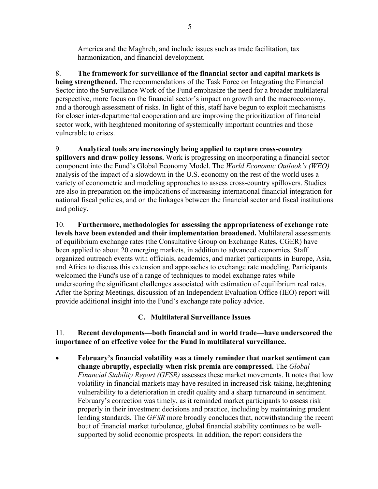America and the Maghreb, and include issues such as trade facilitation, tax harmonization, and financial development.

8. **The framework for surveillance of the financial sector and capital markets is being strengthened.** The recommendations of the Task Force on Integrating the Financial Sector into the Surveillance Work of the Fund emphasize the need for a broader multilateral perspective, more focus on the financial sector's impact on growth and the macroeconomy, and a thorough assessment of risks. In light of this, staff have begun to exploit mechanisms for closer inter-departmental cooperation and are improving the prioritization of financial sector work, with heightened monitoring of systemically important countries and those vulnerable to crises.

9. **Analytical tools are increasingly being applied to capture cross-country spillovers and draw policy lessons.** Work is progressing on incorporating a financial sector component into the Fund's Global Economy Model. The *World Economic Outlook's (WEO)* analysis of the impact of a slowdown in the U.S. economy on the rest of the world uses a variety of econometric and modeling approaches to assess cross-country spillovers. Studies are also in preparation on the implications of increasing international financial integration for national fiscal policies, and on the linkages between the financial sector and fiscal institutions and policy.

10. **Furthermore, methodologies for assessing the appropriateness of exchange rate levels have been extended and their implementation broadened.** Multilateral assessments of equilibrium exchange rates (the Consultative Group on Exchange Rates, CGER) have been applied to about 20 emerging markets, in addition to advanced economies. Staff organized outreach events with officials, academics, and market participants in Europe, Asia, and Africa to discuss this extension and approaches to exchange rate modeling. Participants welcomed the Fund's use of a range of techniques to model exchange rates while underscoring the significant challenges associated with estimation of equilibrium real rates. After the Spring Meetings, discussion of an Independent Evaluation Office (IEO) report will provide additional insight into the Fund's exchange rate policy advice.

# **C. Multilateral Surveillance Issues**

11. **Recent developments—both financial and in world trade—have underscored the importance of an effective voice for the Fund in multilateral surveillance.**

• **February's financial volatility was a timely reminder that market sentiment can change abruptly, especially when risk premia are compressed.** The *Global Financial Stability Report (GFSR)* assesses these market movements. It notes that low volatility in financial markets may have resulted in increased risk-taking, heightening vulnerability to a deterioration in credit quality and a sharp turnaround in sentiment. February's correction was timely, as it reminded market participants to assess risk properly in their investment decisions and practice, including by maintaining prudent lending standards. The *GFSR* more broadly concludes that, notwithstanding the recent bout of financial market turbulence, global financial stability continues to be wellsupported by solid economic prospects. In addition, the report considers the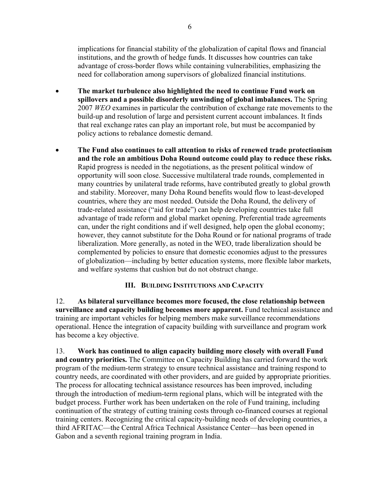implications for financial stability of the globalization of capital flows and financial institutions, and the growth of hedge funds. It discusses how countries can take advantage of cross-border flows while containing vulnerabilities, emphasizing the need for collaboration among supervisors of globalized financial institutions.

- **The market turbulence also highlighted the need to continue Fund work on spillovers and a possible disorderly unwinding of global imbalances.** The Spring 2007 *WEO* examines in particular the contribution of exchange rate movements to the build-up and resolution of large and persistent current account imbalances. It finds that real exchange rates can play an important role, but must be accompanied by policy actions to rebalance domestic demand.
- **The Fund also continues to call attention to risks of renewed trade protectionism and the role an ambitious Doha Round outcome could play to reduce these risks.** Rapid progress is needed in the negotiations, as the present political window of opportunity will soon close. Successive multilateral trade rounds, complemented in many countries by unilateral trade reforms, have contributed greatly to global growth and stability. Moreover, many Doha Round benefits would flow to least-developed countries, where they are most needed. Outside the Doha Round, the delivery of trade-related assistance ("aid for trade") can help developing countries take full advantage of trade reform and global market opening. Preferential trade agreements can, under the right conditions and if well designed, help open the global economy; however, they cannot substitute for the Doha Round or for national programs of trade liberalization. More generally, as noted in the WEO, trade liberalization should be complemented by policies to ensure that domestic economies adjust to the pressures of globalization—including by better education systems, more flexible labor markets, and welfare systems that cushion but do not obstruct change.

#### **III. BUILDING INSTITUTIONS AND CAPACITY**

12. **As bilateral surveillance becomes more focused, the close relationship between surveillance and capacity building becomes more apparent.** Fund technical assistance and training are important vehicles for helping members make surveillance recommendations operational. Hence the integration of capacity building with surveillance and program work has become a key objective.

13. **Work has continued to align capacity building more closely with overall Fund and country priorities.** The Committee on Capacity Building has carried forward the work program of the medium-term strategy to ensure technical assistance and training respond to country needs, are coordinated with other providers, and are guided by appropriate priorities. The process for allocating technical assistance resources has been improved, including through the introduction of medium-term regional plans, which will be integrated with the budget process. Further work has been undertaken on the role of Fund training, including continuation of the strategy of cutting training costs through co-financed courses at regional training centers. Recognizing the critical capacity-building needs of developing countries, a third AFRITAC—the Central Africa Technical Assistance Center—has been opened in Gabon and a seventh regional training program in India.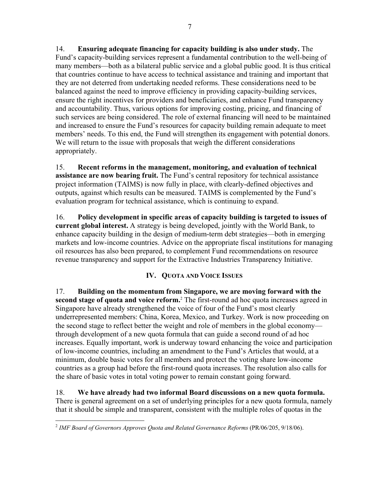14. **Ensuring adequate financing for capacity building is also under study.** The Fund's capacity-building services represent a fundamental contribution to the well-being of many members—both as a bilateral public service and a global public good. It is thus critical that countries continue to have access to technical assistance and training and important that they are not deterred from undertaking needed reforms. These considerations need to be balanced against the need to improve efficiency in providing capacity-building services, ensure the right incentives for providers and beneficiaries, and enhance Fund transparency and accountability. Thus, various options for improving costing, pricing, and financing of such services are being considered. The role of external financing will need to be maintained and increased to ensure the Fund's resources for capacity building remain adequate to meet members' needs. To this end, the Fund will strengthen its engagement with potential donors. We will return to the issue with proposals that weigh the different considerations appropriately.

15. **Recent reforms in the management, monitoring, and evaluation of technical assistance are now bearing fruit.** The Fund's central repository for technical assistance project information (TAIMS) is now fully in place, with clearly-defined objectives and outputs, against which results can be measured. TAIMS is complemented by the Fund's evaluation program for technical assistance, which is continuing to expand.

16. **Policy development in specific areas of capacity building is targeted to issues of current global interest.** A strategy is being developed, jointly with the World Bank, to enhance capacity building in the design of medium-term debt strategies—both in emerging markets and low-income countries. Advice on the appropriate fiscal institutions for managing oil resources has also been prepared, to complement Fund recommendations on resource revenue transparency and support for the Extractive Industries Transparency Initiative.

# **IV. QUOTA AND VOICE ISSUES**

17. **Building on the momentum from Singapore, we are moving forward with the second stage of quota and voice reform.**<sup>2</sup> The first-round ad hoc quota increases agreed in Singapore have already strengthened the voice of four of the Fund's most clearly underrepresented members: China, Korea, Mexico, and Turkey. Work is now proceeding on the second stage to reflect better the weight and role of members in the global economy through development of a new quota formula that can guide a second round of ad hoc increases. Equally important, work is underway toward enhancing the voice and participation of low-income countries, including an amendment to the Fund's Articles that would, at a minimum, double basic votes for all members and protect the voting share low-income countries as a group had before the first-round quota increases. The resolution also calls for the share of basic votes in total voting power to remain constant going forward.

18. **We have already had two informal Board discussions on a new quota formula.** There is general agreement on a set of underlying principles for a new quota formula, namely that it should be simple and transparent, consistent with the multiple roles of quotas in the

<sup>1</sup> <sup>2</sup> *IMF Board of Governors Approves Quota and Related Governance Reforms* (PR/06/205, 9/18/06).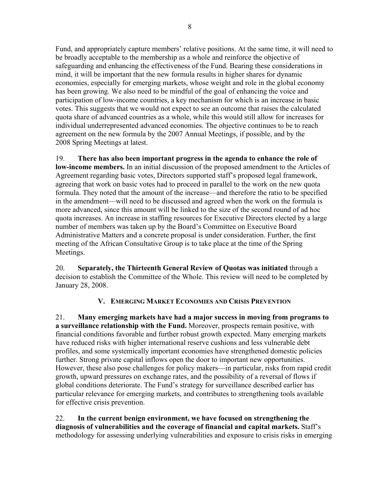Fund, and appropriately capture members' relative positions. At the same time, it will need to be broadly acceptable to the membership as a whole and reinforce the objective of safeguarding and enhancing the effectiveness of the Fund. Bearing these considerations in mind, it will be important that the new formula results in higher shares for dynamic economies, especially for emerging markets, whose weight and role in the global economy has been growing. We also need to be mindful of the goal of enhancing the voice and participation of low-income countries, a key mechanism for which is an increase in basic votes. This suggests that we would not expect to see an outcome that raises the calculated quota share of advanced countries as a whole, while this would still allow for increases for individual underrepresented advanced economies. The objective continues to be to reach agreement on the new formula by the 2007 Annual Meetings, if possible, and by the 2008 Spring Meetings at latest.

19. **There has also been important progress in the agenda to enhance the role of low-income members.** In an initial discussion of the proposed amendment to the Articles of Agreement regarding basic votes, Directors supported staff's proposed legal framework, agreeing that work on basic votes had to proceed in parallel to the work on the new quota formula. They noted that the amount of the increase—and therefore the ratio to be specified in the amendment—will need to be discussed and agreed when the work on the formula is more advanced, since this amount will be linked to the size of the second round of ad hoc quota increases. An increase in staffing resources for Executive Directors elected by a large number of members was taken up by the Board's Committee on Executive Board Administrative Matters and a concrete proposal is under consideration. Further, the first meeting of the African Consultative Group is to take place at the time of the Spring Meetings.

20. **Separately, the Thirteenth General Review of Quotas was initiated** through a decision to establish the Committee of the Whole. This review will need to be completed by January 28, 2008.

# **V. EMERGING MARKET ECONOMIES AND CRISIS PREVENTION**

21. **Many emerging markets have had a major success in moving from programs to a surveillance relationship with the Fund.** Moreover, prospects remain positive, with financial conditions favorable and further robust growth expected. Many emerging markets have reduced risks with higher international reserve cushions and less vulnerable debt profiles, and some systemically important economies have strengthened domestic policies further. Strong private capital inflows open the door to important new opportunities. However, these also pose challenges for policy makers—in particular, risks from rapid credit growth, upward pressures on exchange rates, and the possibility of a reversal of flows if global conditions deteriorate. The Fund's strategy for surveillance described earlier has particular relevance for emerging markets, and contributes to strengthening tools available for effective crisis prevention.

22. **In the current benign environment, we have focused on strengthening the diagnosis of vulnerabilities and the coverage of financial and capital markets.** Staff's methodology for assessing underlying vulnerabilities and exposure to crisis risks in emerging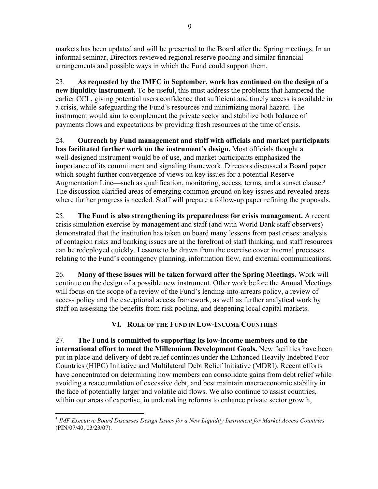markets has been updated and will be presented to the Board after the Spring meetings. In an informal seminar, Directors reviewed regional reserve pooling and similar financial arrangements and possible ways in which the Fund could support them.

23. **As requested by the IMFC in September, work has continued on the design of a new liquidity instrument.** To be useful, this must address the problems that hampered the earlier CCL, giving potential users confidence that sufficient and timely access is available in a crisis, while safeguarding the Fund's resources and minimizing moral hazard. The instrument would aim to complement the private sector and stabilize both balance of payments flows and expectations by providing fresh resources at the time of crisis.

24. **Outreach by Fund management and staff with officials and market participants has facilitated further work on the instrument's design.** Most officials thought a well-designed instrument would be of use, and market participants emphasized the importance of its commitment and signaling framework. Directors discussed a Board paper which sought further convergence of views on key issues for a potential Reserve Augmentation Line—such as qualification, monitoring, access, terms, and a sunset clause.<sup>3</sup> The discussion clarified areas of emerging common ground on key issues and revealed areas where further progress is needed. Staff will prepare a follow-up paper refining the proposals.

25. **The Fund is also strengthening its preparedness for crisis management.** A recent crisis simulation exercise by management and staff (and with World Bank staff observers) demonstrated that the institution has taken on board many lessons from past crises: analysis of contagion risks and banking issues are at the forefront of staff thinking, and staff resources can be redeployed quickly. Lessons to be drawn from the exercise cover internal processes relating to the Fund's contingency planning, information flow, and external communications.

26. **Many of these issues will be taken forward after the Spring Meetings.** Work will continue on the design of a possible new instrument. Other work before the Annual Meetings will focus on the scope of a review of the Fund's lending-into-arrears policy, a review of access policy and the exceptional access framework, as well as further analytical work by staff on assessing the benefits from risk pooling, and deepening local capital markets.

# **VI. ROLE OF THE FUND IN LOW-INCOME COUNTRIES**

27. **The Fund is committed to supporting its low-income members and to the international effort to meet the Millennium Development Goals.** New facilities have been put in place and delivery of debt relief continues under the Enhanced Heavily Indebted Poor Countries (HIPC) Initiative and Multilateral Debt Relief Initiative (MDRI). Recent efforts have concentrated on determining how members can consolidate gains from debt relief while avoiding a reaccumulation of excessive debt, and best maintain macroeconomic stability in the face of potentially larger and volatile aid flows. We also continue to assist countries, within our areas of expertise, in undertaking reforms to enhance private sector growth,

 $\overline{a}$ 3  *[IMF Executive Board Discusses Design Issues for a New Liquidity Instrument for Market Access Countries](http://www.imf.org/external/np/sec/pn/2007/pn0740.htm)*  (PIN/07/40, 03/23/07).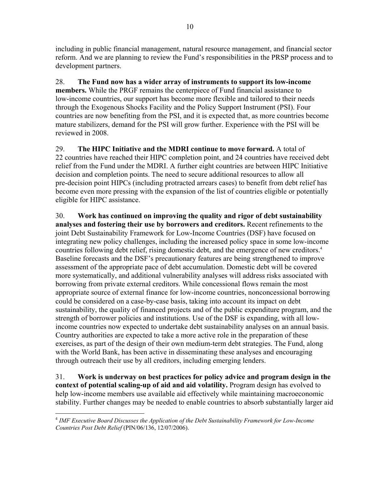including in public financial management, natural resource management, and financial sector reform. And we are planning to review the Fund's responsibilities in the PRSP process and to development partners.

28. **The Fund now has a wider array of instruments to support its low-income members.** While the PRGF remains the centerpiece of Fund financial assistance to low-income countries, our support has become more flexible and tailored to their needs through the Exogenous Shocks Facility and the Policy Support Instrument (PSI). Four countries are now benefiting from the PSI, and it is expected that, as more countries become mature stabilizers, demand for the PSI will grow further. Experience with the PSI will be reviewed in 2008.

29. **The HIPC Initiative and the MDRI continue to move forward.** A total of 22 countries have reached their HIPC completion point, and 24 countries have received debt relief from the Fund under the MDRI. A further eight countries are between HIPC Initiative decision and completion points. The need to secure additional resources to allow all pre-decision point HIPCs (including protracted arrears cases) to benefit from debt relief has become even more pressing with the expansion of the list of countries eligible or potentially eligible for HIPC assistance.

30. **Work has continued on improving the quality and rigor of debt sustainability analyses and fostering their use by borrowers and creditors.** Recent refinements to the joint Debt Sustainability Framework for Low-Income Countries (DSF) have focused on integrating new policy challenges, including the increased policy space in some low-income countries following debt relief, rising domestic debt, and the emergence of new creditors.<sup>4</sup> Baseline forecasts and the DSF's precautionary features are being strengthened to improve assessment of the appropriate pace of debt accumulation. Domestic debt will be covered more systematically, and additional vulnerability analyses will address risks associated with borrowing from private external creditors. While concessional flows remain the most appropriate source of external finance for low-income countries, nonconcessional borrowing could be considered on a case-by-case basis, taking into account its impact on debt sustainability, the quality of financed projects and of the public expenditure program, and the strength of borrower policies and institutions. Use of the DSF is expanding, with all lowincome countries now expected to undertake debt sustainability analyses on an annual basis. Country authorities are expected to take a more active role in the preparation of these exercises, as part of the design of their own medium-term debt strategies. The Fund, along with the World Bank, has been active in disseminating these analyses and encouraging through outreach their use by all creditors, including emerging lenders.

31. **Work is underway on best practices for policy advice and program design in the context of potential scaling-up of aid and aid volatility.** Program design has evolved to help low-income members use available aid effectively while maintaining macroeconomic stability. Further changes may be needed to enable countries to absorb substantially larger aid

<u>.</u>

<sup>4</sup> *[IMF Executive Board Discusses the Application of the Debt Sustainability Framework for Low-Income](http://www.imf.org/external/np/sec/pn/2006/pn06136.htm)  Countries Post Debt Relief* (PIN/06/136, 12/07/2006).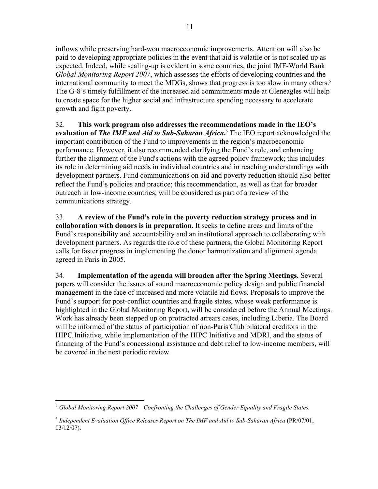inflows while preserving hard-won macroeconomic improvements. Attention will also be paid to developing appropriate policies in the event that aid is volatile or is not scaled up as expected. Indeed, while scaling-up is evident in some countries, the joint IMF-World Bank *Global Monitoring Report 2007*, which assesses the efforts of developing countries and the international community to meet the MDGs, shows that progress is too slow in many others.<sup>5</sup> The G-8's timely fulfillment of the increased aid commitments made at Gleneagles will help to create space for the higher social and infrastructure spending necessary to accelerate growth and fight poverty.

32. **This work program also addresses the recommendations made in the IEO's**  evaluation of *The IMF and Aid to Sub-Saharan Africa*. <sup>6</sup> The IEO report acknowledged the important contribution of the Fund to improvements in the region's macroeconomic performance. However, it also recommended clarifying the Fund's role, and enhancing further the alignment of the Fund's actions with the agreed policy framework; this includes its role in determining aid needs in individual countries and in reaching understandings with development partners. Fund communications on aid and poverty reduction should also better reflect the Fund's policies and practice; this recommendation, as well as that for broader outreach in low-income countries, will be considered as part of a review of the communications strategy.

33. **A review of the Fund's role in the poverty reduction strategy process and in collaboration with donors is in preparation.** It seeks to define areas and limits of the Fund's responsibility and accountability and an institutional approach to collaborating with development partners. As regards the role of these partners, the Global Monitoring Report calls for faster progress in implementing the donor harmonization and alignment agenda agreed in Paris in 2005.

34. **Implementation of the agenda will broaden after the Spring Meetings.** Several papers will consider the issues of sound macroeconomic policy design and public financial management in the face of increased and more volatile aid flows. Proposals to improve the Fund's support for post-conflict countries and fragile states, whose weak performance is highlighted in the Global Monitoring Report, will be considered before the Annual Meetings. Work has already been stepped up on protracted arrears cases, including Liberia. The Board will be informed of the status of participation of non-Paris Club bilateral creditors in the HIPC Initiative, while implementation of the HIPC Initiative and MDRI, and the status of financing of the Fund's concessional assistance and debt relief to low-income members, will be covered in the next periodic review.

 $\overline{a}$ <sup>5</sup> Global Monitoring Report 2007—Confronting the Challenges of Gender Equality and Fragile States.

<sup>6</sup>  *[Independent Evaluation Office Releases Report on The IMF and Aid to Sub-Saharan Africa](http://www.imf.org/External/NP/ieo/2007/pr/eng/pr0701.htm)* (PR/07/01, 03/12/07).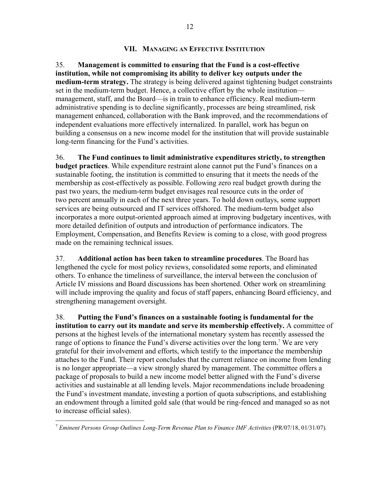#### **VII. MANAGING AN EFFECTIVE INSTITUTION**

35. **Management is committed to ensuring that the Fund is a cost-effective institution, while not compromising its ability to deliver key outputs under the medium-term strategy.** The strategy is being delivered against tightening budget constraints set in the medium-term budget. Hence, a collective effort by the whole institution management, staff, and the Board—is in train to enhance efficiency. Real medium-term administrative spending is to decline significantly, processes are being streamlined, risk management enhanced, collaboration with the Bank improved, and the recommendations of independent evaluations more effectively internalized. In parallel, work has begun on building a consensus on a new income model for the institution that will provide sustainable long-term financing for the Fund's activities.

36. **The Fund continues to limit administrative expenditures strictly, to strengthen budget practices**. While expenditure restraint alone cannot put the Fund's finances on a sustainable footing, the institution is committed to ensuring that it meets the needs of the membership as cost-effectively as possible. Following zero real budget growth during the past two years, the medium-term budget envisages real resource cuts in the order of two percent annually in each of the next three years. To hold down outlays, some support services are being outsourced and IT services offshored. The medium-term budget also incorporates a more output-oriented approach aimed at improving budgetary incentives, with more detailed definition of outputs and introduction of performance indicators. The Employment, Compensation, and Benefits Review is coming to a close, with good progress made on the remaining technical issues.

37. **Additional action has been taken to streamline procedures**. The Board has lengthened the cycle for most policy reviews, consolidated some reports, and eliminated others. To enhance the timeliness of surveillance, the interval between the conclusion of Article IV missions and Board discussions has been shortened. Other work on streamlining will include improving the quality and focus of staff papers, enhancing Board efficiency, and strengthening management oversight.

38. **Putting the Fund's finances on a sustainable footing is fundamental for the institution to carry out its mandate and serve its membership effectively.** A committee of persons at the highest levels of the international monetary system has recently assessed the range of options to finance the Fund's diverse activities over the long term.<sup>7</sup> We are very grateful for their involvement and efforts, which testify to the importance the membership attaches to the Fund. Their report concludes that the current reliance on income from lending is no longer appropriate—a view strongly shared by management. The committee offers a package of proposals to build a new income model better aligned with the Fund's diverse activities and sustainable at all lending levels. Major recommendations include broadening the Fund's investment mandate, investing a portion of quota subscriptions, and establishing an endowment through a limited gold sale (that would be ring-fenced and managed so as not to increase official sales).

 $\overline{a}$ 

<sup>&</sup>lt;sup>7</sup> *[Eminent Persons Group Outlines Long-Term Revenue Plan to Finance IMF Activities](http://www.imf.org/external/np/sec/pr/2007/pr0718.htm) (PR/07/18, 01/31/07).*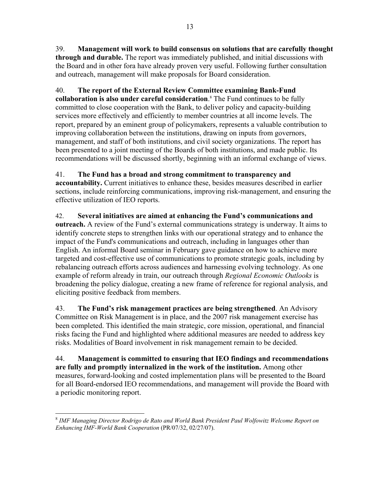39. **Management will work to build consensus on solutions that are carefully thought through and durable.** The report was immediately published, and initial discussions with the Board and in other fora have already proven very useful. Following further consultation and outreach, management will make proposals for Board consideration.

# 40. **The report of the External Review Committee examining Bank-Fund**

**collaboration is also under careful consideration**. 8 The Fund continues to be fully committed to close cooperation with the Bank, to deliver policy and capacity-building services more effectively and efficiently to member countries at all income levels. The report, prepared by an eminent group of policymakers, represents a valuable contribution to improving collaboration between the institutions, drawing on inputs from governors, management, and staff of both institutions, and civil society organizations. The report has been presented to a joint meeting of the Boards of both institutions, and made public. Its recommendations will be discussed shortly, beginning with an informal exchange of views.

#### 41. **The Fund has a broad and strong commitment to transparency and**

**accountability.** Current initiatives to enhance these, besides measures described in earlier sections, include reinforcing communications, improving risk-management, and ensuring the effective utilization of IEO reports.

42. **Several initiatives are aimed at enhancing the Fund's communications and outreach.** A review of the Fund's external communications strategy is underway. It aims to identify concrete steps to strengthen links with our operational strategy and to enhance the impact of the Fund's communications and outreach, including in languages other than English. An informal Board seminar in February gave guidance on how to achieve more targeted and cost-effective use of communications to promote strategic goals, including by rebalancing outreach efforts across audiences and harnessing evolving technology. As one example of reform already in train, our outreach through *Regional Economic Outlooks* is broadening the policy dialogue, creating a new frame of reference for regional analysis, and eliciting positive feedback from members.

43. **The Fund's risk management practices are being strengthened**. An Advisory Committee on Risk Management is in place, and the 2007 risk management exercise has been completed. This identified the main strategic, core mission, operational, and financial risks facing the Fund and highlighted where additional measures are needed to address key risks. Modalities of Board involvement in risk management remain to be decided.

44. **Management is committed to ensuring that IEO findings and recommendations are fully and promptly internalized in the work of the institution.** Among other measures, forward-looking and costed implementation plans will be presented to the Board for all Board-endorsed IEO recommendations, and management will provide the Board with a periodic monitoring report.

 $\overline{a}$ <sup>8</sup> IMF Managing Director Rodrigo de Rato and World Bank President Paul Wolfowitz Welcome Report on *Enhancing IMF-World Bank Cooperation* (PR/07/32, 02/27/07).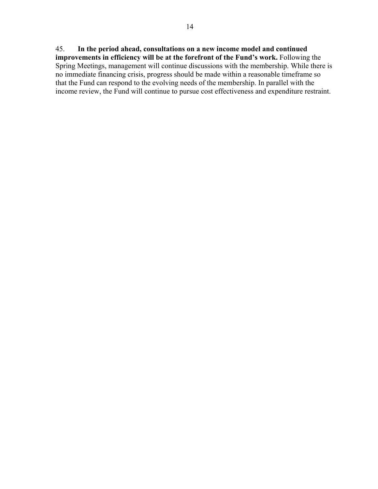# 45. **In the period ahead, consultations on a new income model and continued**

**improvements in efficiency will be at the forefront of the Fund's work.** Following the Spring Meetings, management will continue discussions with the membership. While there is no immediate financing crisis, progress should be made within a reasonable timeframe so that the Fund can respond to the evolving needs of the membership. In parallel with the income review, the Fund will continue to pursue cost effectiveness and expenditure restraint.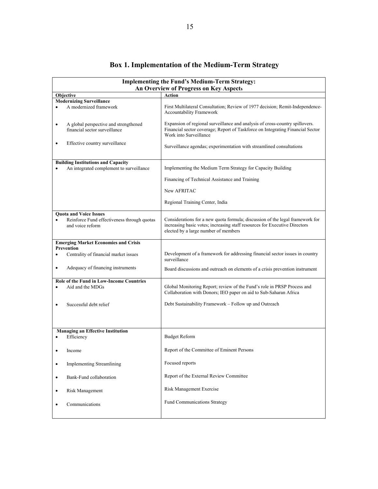| <b>Implementing the Fund's Medium-Term Strategy:</b><br>An Overview of Progress on Key Aspects |                                                                                                                                                                                                     |  |  |  |  |  |  |  |  |
|------------------------------------------------------------------------------------------------|-----------------------------------------------------------------------------------------------------------------------------------------------------------------------------------------------------|--|--|--|--|--|--|--|--|
| <b>Action</b><br><b>Objective</b>                                                              |                                                                                                                                                                                                     |  |  |  |  |  |  |  |  |
| <b>Modernizing Surveillance</b>                                                                |                                                                                                                                                                                                     |  |  |  |  |  |  |  |  |
| A modernized framework<br>$\bullet$                                                            | First Multilateral Consultation; Review of 1977 decision; Remit-Independence-<br>Accountability Framework                                                                                           |  |  |  |  |  |  |  |  |
| A global perspective and strengthened<br>$\bullet$<br>financial sector surveillance            | Expansion of regional surveillance and analysis of cross-country spillovers.<br>Financial sector coverage; Report of Taskforce on Integrating Financial Sector<br>Work into Surveillance            |  |  |  |  |  |  |  |  |
| Effective country surveillance<br>$\bullet$                                                    | Surveillance agendas; experimentation with streamlined consultations                                                                                                                                |  |  |  |  |  |  |  |  |
| <b>Building Institutions and Capacity</b><br>An integrated complement to surveillance          | Implementing the Medium Term Strategy for Capacity Building                                                                                                                                         |  |  |  |  |  |  |  |  |
|                                                                                                | Financing of Technical Assistance and Training                                                                                                                                                      |  |  |  |  |  |  |  |  |
|                                                                                                | New AFRITAC                                                                                                                                                                                         |  |  |  |  |  |  |  |  |
|                                                                                                | Regional Training Center, India                                                                                                                                                                     |  |  |  |  |  |  |  |  |
| <b>Quota and Voice Issues</b>                                                                  |                                                                                                                                                                                                     |  |  |  |  |  |  |  |  |
| Reinforce Fund effectiveness through quotas<br>$\bullet$<br>and voice reform                   | Considerations for a new quota formula; discussion of the legal framework for<br>increasing basic votes; increasing staff resources for Executive Directors<br>elected by a large number of members |  |  |  |  |  |  |  |  |
| <b>Emerging Market Economies and Crisis</b>                                                    |                                                                                                                                                                                                     |  |  |  |  |  |  |  |  |
| <b>Prevention</b>                                                                              |                                                                                                                                                                                                     |  |  |  |  |  |  |  |  |
| Centrality of financial market issues<br>$\bullet$                                             | Development of a framework for addressing financial sector issues in country<br>surveillance                                                                                                        |  |  |  |  |  |  |  |  |
| Adequacy of financing instruments<br>$\bullet$                                                 | Board discussions and outreach on elements of a crisis prevention instrument                                                                                                                        |  |  |  |  |  |  |  |  |
| <b>Role of the Fund in Low-Income Countries</b>                                                |                                                                                                                                                                                                     |  |  |  |  |  |  |  |  |
| Aid and the MDGs<br>$\bullet$                                                                  | Global Monitoring Report; review of the Fund's role in PRSP Process and<br>Collaboration with Donors; IEO paper on aid to Sub-Saharan Africa                                                        |  |  |  |  |  |  |  |  |
| Successful debt relief                                                                         | Debt Sustainability Framework – Follow up and Outreach                                                                                                                                              |  |  |  |  |  |  |  |  |
|                                                                                                |                                                                                                                                                                                                     |  |  |  |  |  |  |  |  |
| <b>Managing an Effective Institution</b>                                                       |                                                                                                                                                                                                     |  |  |  |  |  |  |  |  |
| Efficiency<br>٠                                                                                | <b>Budget Reform</b>                                                                                                                                                                                |  |  |  |  |  |  |  |  |
| Income<br>$\bullet$                                                                            | Report of the Committee of Eminent Persons                                                                                                                                                          |  |  |  |  |  |  |  |  |
| <b>Implementing Streamlining</b><br>$\bullet$                                                  | Focused reports                                                                                                                                                                                     |  |  |  |  |  |  |  |  |
| Bank-Fund collaboration<br>$\bullet$                                                           | Report of the External Review Committee                                                                                                                                                             |  |  |  |  |  |  |  |  |
| Risk Management<br>$\bullet$                                                                   | <b>Risk Management Exercise</b>                                                                                                                                                                     |  |  |  |  |  |  |  |  |
| Communications<br>$\bullet$                                                                    | <b>Fund Communications Strategy</b>                                                                                                                                                                 |  |  |  |  |  |  |  |  |
|                                                                                                |                                                                                                                                                                                                     |  |  |  |  |  |  |  |  |

# **Box 1. Implementation of the Medium-Term Strategy**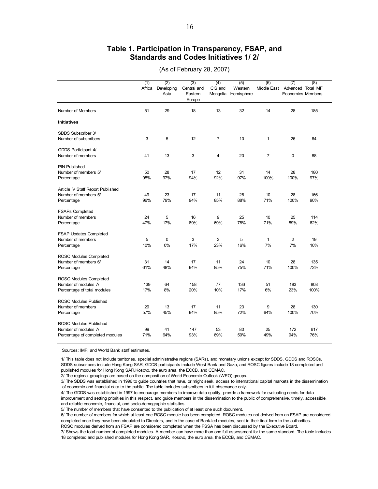#### **Table 1. Participation in Transparency, FSAP, and Standards and Codes Initiatives 1/ 2/**

|                                   | (1)    | (2)                | (3)                             | (4)                 | (5)                  | (6)          | (7)                                            | (8)  |
|-----------------------------------|--------|--------------------|---------------------------------|---------------------|----------------------|--------------|------------------------------------------------|------|
|                                   | Africa | Developing<br>Asia | Central and<br>Eastem<br>Europe | CIS and<br>Mongolia | Westem<br>Hemisphere | Middle East  | Advanced Total IMF<br><b>Economies Members</b> |      |
| Number of Members                 | 51     | 29                 | 18                              | 13                  | 32                   | 14           | 28                                             | 185  |
| <b>Initiatives</b>                |        |                    |                                 |                     |                      |              |                                                |      |
| SDDS Subscriber 3/                |        |                    |                                 |                     |                      |              |                                                |      |
| Number of subscribers             | 3      | 5                  | 12                              | $\overline{7}$      | 10                   | 1            | 26                                             | 64   |
| GDDS Participant 4/               |        |                    |                                 |                     |                      |              |                                                |      |
| Number of members                 | 41     | 13                 | 3                               | 4                   | 20                   | 7            | 0                                              | 88   |
| <b>PIN Published</b>              |        |                    |                                 |                     |                      |              |                                                |      |
| Number of members 5/              | 50     | 28                 | 17                              | 12                  | 31                   | 14           | 28                                             | 180  |
| Percentage                        | 98%    | 97%                | 94%                             | 92%                 | 97%                  | 100%         | 100%                                           | 97%  |
| Article IV Staff Report Published |        |                    |                                 |                     |                      |              |                                                |      |
| Number of members 5/              | 49     | 23                 | 17                              | 11                  | 28                   | 10           | 28                                             | 166  |
| Percentage                        | 96%    | 79%                | 94%                             | 85%                 | 88%                  | 71%          | 100%                                           | 90%  |
| <b>FSAPs Completed</b>            |        |                    |                                 |                     |                      |              |                                                |      |
| Number of members                 | 24     | 5                  | 16                              | 9                   | 25                   | 10           | 25                                             | 114  |
| Percentage                        | 47%    | 17%                | 89%                             | 69%                 | 78%                  | 71%          | 89%                                            | 62%  |
| FSAP Updates Completed            |        |                    |                                 |                     |                      |              |                                                |      |
| Number of members                 | 5      | $\mathbf 0$        | 3                               | 3                   | 5                    | $\mathbf{1}$ | $\overline{2}$                                 | 19   |
| Percentage                        | 10%    | 0%                 | 17%                             | 23%                 | 16%                  | 7%           | 7%                                             | 10%  |
| ROSC Modules Completed            |        |                    |                                 |                     |                      |              |                                                |      |
| Number of members 6/              | 31     | 14                 | 17                              | 11                  | 24                   | 10           | 28                                             | 135  |
| Percentage                        | 61%    | 48%                | 94%                             | 85%                 | 75%                  | 71%          | 100%                                           | 73%  |
| ROSC Modules Completed            |        |                    |                                 |                     |                      |              |                                                |      |
| Number of modules 7/              | 139    | 64                 | 158                             | 77                  | 136                  | 51           | 183                                            | 808  |
| Percentage of total modules       | 17%    | 8%                 | 20%                             | 10%                 | 17%                  | 6%           | 23%                                            | 100% |
| <b>ROSC Modules Published</b>     |        |                    |                                 |                     |                      |              |                                                |      |
| Number of members                 | 29     | 13                 | 17                              | 11                  | 23                   | 9            | 28                                             | 130  |
| Percentage                        | 57%    | 45%                | 94%                             | 85%                 | 72%                  | 64%          | 100%                                           | 70%  |
| <b>ROSC Modules Published</b>     |        |                    |                                 |                     |                      |              |                                                |      |
| Number of modules 7/              | 99     | 41                 | 147                             | 53                  | 80                   | 25           | 172                                            | 617  |
| Percentage of completed modules   | 71%    | 64%                | 93%                             | 69%                 | 59%                  | 49%          | 94%                                            | 76%  |

(As of February 28, 2007)

Sources: IMF; and World Bank staff estimates.

1/ This table does not include territories, special administrative regions (SARs), and monetary unions except for SDDS, GDDS and ROSCs. SDDS subscribers include Hong Kong SAR, GDDS participants include West Bank and Gaza, and ROSC figures include 18 completed and published modules for Hong Kong SAR,Kosovo, the euro area, the ECCB, and CEMAC.

2/ The regional groupings are based on the composition of World Economic Outlook (WEO) groups.

3/ The SDDS was established in 1996 to guide countries that have, or might seek, access to international capital markets in the dissemination of economic and financial data to the public. The table includes subscribers in full observance only.

4/ The GDDS was established in 1997 to encourage members to improve data quality, provide a framework for evaluating needs for data improvement and setting priorities in this respect, and guide members in the dissemination to the public of comprehensive, timely, accessible, and reliable economic, financial, and socio-demographic statistics.

5/ The number of members that have consented to the publication of at least one such document.

6/ The number of members for which at least one ROSC module has been completed. ROSC modules not derived from an FSAP are considered completed once they have been circulated to Directors, and in the case of Bank-led modules, sent in their final form to the authorities.

ROSC modules derived from an FSAP are considered completed when the FSSA has been discussed by the Executive Board.

7/ Shows the total number of completed modules. A member can have more than one full assessment for the same standard. The table includes 18 completed and published modules for Hong Kong SAR, Kosovo, the euro area, the ECCB, and CEMAC.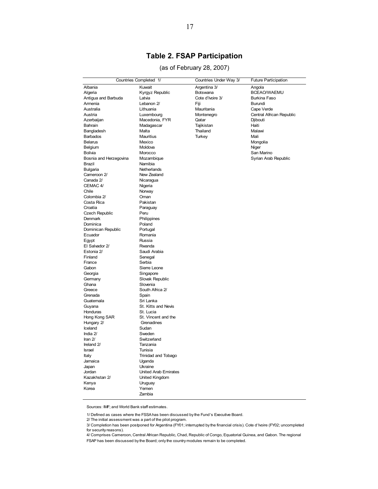# **Table 2. FSAP Participation**

#### (as of February 28, 2007)

| Countries Completed 1/ |                                  | Countries Under Way 3/ | <b>Future Participation</b> |
|------------------------|----------------------------------|------------------------|-----------------------------|
| Albania                | Kuwait                           | Argentina 3/           | Angola                      |
| Algeria                | Kyrgyz Republic                  | Botswana               | BCEAO/WAEMU                 |
| Antigua and Barbuda    | Latvia                           | Cote d'Ivoire 3/       | Burkina Faso                |
| Armenia                | Lebanon 2/                       | Fiji                   | Burundi                     |
| Australia              | Lithuania                        | Mauritania             | Cape Verde                  |
| Austria                | Luxembourg                       | Montenegro             | Central African Republic    |
| Azerbaijan             | Macedonia, FYR                   | Qatar                  | Djibouti                    |
| Bahrain                | Madagascar                       | Tajikistan             | Haiti                       |
| Bangladesh             | Malta                            | Thailand               | Malawi                      |
| Barbados               | Mauritius                        | Turkey                 | Mali                        |
| Belarus                | Mexico                           |                        | Mongolia                    |
| Belgium                | Moldova                          |                        | Niger                       |
| Bolivia                | Morocco                          |                        | San Marino                  |
| Bosnia and Herzegovina | Mozambique                       |                        | Syrian Arab Republic        |
| Brazil                 | Namibia                          |                        |                             |
| <b>Bulgaria</b>        | Netherlands                      |                        |                             |
| Cameroon 2/            | New Zealand                      |                        |                             |
| Canada 2/              | Nicaragua                        |                        |                             |
| CEMAC 4/               | Nigeria                          |                        |                             |
| Chile                  | Norway                           |                        |                             |
| Colombia 2/            | Oman                             |                        |                             |
| Costa Rica             | Pakistan                         |                        |                             |
| Croatia                | Paraguay                         |                        |                             |
| Czech Republic         | Peru                             |                        |                             |
| Denmark                | Philippines                      |                        |                             |
| Dominica               | Poland                           |                        |                             |
| Dominican Republic     | Portugal                         |                        |                             |
| Ecuador                | Romania                          |                        |                             |
| Egypt                  | Russia                           |                        |                             |
| El Salvador 2/         | Rwanda                           |                        |                             |
| Estonia 2/             | Saudi Arabia                     |                        |                             |
| Finland                | Senegal                          |                        |                             |
| France                 | Serbia                           |                        |                             |
| Gabon                  | Sierre Leone                     |                        |                             |
| Georgia                | Singapore                        |                        |                             |
| Germany                | Slovak Republic                  |                        |                             |
| Ghana                  | Slovenia                         |                        |                             |
| Greece                 | South Africa 2/                  |                        |                             |
| Grenada                | Spain                            |                        |                             |
| Guatemala              | Sri Lanka                        |                        |                             |
| Guyana                 | St. Kitts and Nevis              |                        |                             |
| Honduras               | St. Lucia<br>St. Vincent and the |                        |                             |
| Hong Kong SAR          | Grenadines                       |                        |                             |
| Hungary 2/<br>Iceland  | Sudan                            |                        |                             |
| India 2/               | Sweden                           |                        |                             |
| Iran 2/                | Switzerland                      |                        |                             |
| Ireland 2/             | Tanzania                         |                        |                             |
| Israel                 | Tunisia                          |                        |                             |
| Italy                  | Trinidad and Tobago              |                        |                             |
| Jamaica                | Uganda                           |                        |                             |
| Japan                  | Ukraine                          |                        |                             |
| Jordan                 | United Arab Emirates             |                        |                             |
| Kazakhstan 2/          | United Kingdom                   |                        |                             |
| Kenya                  | Uruguay                          |                        |                             |
| Korea                  | Yemen                            |                        |                             |
|                        | Zambia                           |                        |                             |
|                        |                                  |                        |                             |

Sources: IMF; and World Bank staff estimates.

<sup>1/</sup> Defined as cases where the FSSA has been discussed by the Fund's Executive Board.

<sup>2/</sup> The initial assessment was a part of the pilot program.

<sup>3/</sup> Completion has been postponed for Argentina (FY01; interrupted by the financial crisis). Cote d'Ivoire (FY02; uncompleted for security reasons).

<sup>4/</sup> Comprises Cameroon, Central African Republic, Chad, Republic of Congo, Equatorial Guinea, and Gabon. The regional FSAP has been discussed by the Board; only the country modules remain to be completed.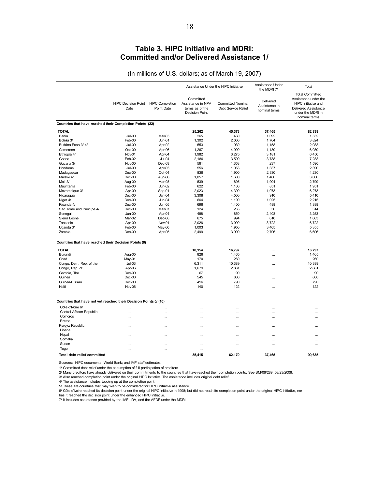#### **Table 3. HIPC Initiative and MDRI: Committed and/or Delivered Assistance 1/**

18

(In millions of U.S. dollars; as of March 19, 2007)

|                                                                   |                                             |                  | Assistance Under the HIPC Initiative                                       |                                                 | Assistance Under<br>the MDRI 7/             | Total                                                                                                                                      |
|-------------------------------------------------------------------|---------------------------------------------|------------------|----------------------------------------------------------------------------|-------------------------------------------------|---------------------------------------------|--------------------------------------------------------------------------------------------------------------------------------------------|
|                                                                   | HIPC Decision Point HIPC Completion<br>Date | Point Date       | Committed<br>Assistance in NPV<br>terms as of the<br><b>Decision Point</b> | <b>Committed Nominal</b><br>Debt Service Relief | Delivered<br>Assistance in<br>nominal terms | <b>Total Committed</b><br>Assistance under the<br>HIPC Initiative and<br><b>Delivered Assistance</b><br>under the MDRI in<br>nominal terms |
| Countries that have reached their Completion Points (22)          |                                             |                  |                                                                            |                                                 |                                             |                                                                                                                                            |
| <b>TOTAL</b>                                                      |                                             |                  | 25,262                                                                     | 45,373                                          | 37,465                                      | 82,838                                                                                                                                     |
| Benin                                                             | $Jul-00$                                    | Mar-03           | 265                                                                        | 460                                             | 1.092                                       | 1,552                                                                                                                                      |
| Bolivia 3/                                                        | Feb-00                                      | $Jun-01$         | 1,302                                                                      | 2,060                                           | 1,764                                       | 3,824                                                                                                                                      |
| Burkina Faso 3/4/                                                 | $Jul-00$                                    | Apr-02           | 553                                                                        | 930                                             | 1,158                                       | 2,088                                                                                                                                      |
| Cameroon                                                          | Oct-00                                      | Apr-06           | 1,267                                                                      | 4,900                                           | 1,130                                       | 6,030                                                                                                                                      |
| Ethiopia 4/                                                       | Nov-01                                      | Apr-04           | 1,982                                                                      | 3,275                                           | 3,181                                       | 6,456                                                                                                                                      |
| Ghana                                                             | Feb-02                                      | Jul-04           | 2,186                                                                      | 3,500                                           | 3,788                                       | 7,288                                                                                                                                      |
| Guyana 3/                                                         | Nov-00                                      | $Dec-03$         | 591                                                                        | 1,353                                           | 237                                         | 1,590                                                                                                                                      |
| Honduras                                                          | Jul-00                                      | Apr-05           | 556                                                                        | 1,053                                           | 1,337                                       | 2,390                                                                                                                                      |
| Madagascar                                                        | Dec-00                                      | Oct-04           | 836                                                                        | 1,900                                           | 2,330                                       | 4,230                                                                                                                                      |
| Malawi 4/                                                         | Dec-00                                      | Aug-06           | 1,057                                                                      | 1,600                                           | 1,400                                       | 3,000                                                                                                                                      |
| Mali 3/                                                           | Aug-00                                      | Mar-03           | 539                                                                        | 895                                             | 1,904                                       | 2,799                                                                                                                                      |
| Mauritania<br>Mozambique 3/                                       | Feb-00                                      | $Jun-02$         | 622<br>2.023                                                               | 1,100                                           | 851                                         | 1,951                                                                                                                                      |
| Nicaragua                                                         | Apr-00<br>$Dec-00$                          | Sep-01<br>Jan-04 | 3,308                                                                      | 4,300<br>4,500                                  | 1,973<br>910                                | 6,273<br>5,410                                                                                                                             |
| Niger 4/                                                          | $Dec-00$                                    | $Jun-04$         | 664                                                                        | 1,190                                           | 1.025                                       | 2.215                                                                                                                                      |
| Rwanda 4/                                                         | $Dec-00$                                    | <b>Jun-05</b>    | 696                                                                        | 1,400                                           | 488                                         | 1.888                                                                                                                                      |
| São Tomé and Príncipe 4/                                          | $Dec-00$                                    | Mar-07           | 124                                                                        | 263                                             | 50                                          | 314                                                                                                                                        |
| Senegal                                                           | Jun-00                                      | Apr-04           | 488                                                                        | 850                                             | 2,403                                       | 3,253                                                                                                                                      |
| Sierra Leone                                                      | Mar-02                                      | Dec-06           | 675                                                                        | 994                                             | 610                                         | 1,603                                                                                                                                      |
| Tanzania                                                          | Apr-00                                      | Nov-01           | 2,026                                                                      | 3,000                                           | 3,722                                       | 6,722                                                                                                                                      |
| Uganda 3/                                                         | Feb-00                                      | May-00           | 1,003                                                                      | 1,950                                           | 3,405                                       | 5,355                                                                                                                                      |
| Zambia                                                            | $Dec-00$                                    | Apr-05           | 2,499                                                                      | 3,900                                           | 2,706                                       | 6,606                                                                                                                                      |
| Countries that have reached their Decision Points (8)             |                                             |                  |                                                                            |                                                 |                                             |                                                                                                                                            |
| <b>TOTAL</b>                                                      |                                             |                  | 10,154                                                                     | 16,797                                          | .                                           | 16,797                                                                                                                                     |
| Burundi                                                           | Aug-05                                      |                  | 826                                                                        | 1,465                                           | .                                           | 1,465                                                                                                                                      |
| Chad                                                              | May-01                                      |                  | 170                                                                        | 260                                             |                                             | 260                                                                                                                                        |
| Congo, Dem. Rep. of the                                           | $Jul-03$                                    |                  | 6,311                                                                      | 10,389                                          |                                             | 10,389                                                                                                                                     |
| Congo, Rep. of                                                    | Apr-06                                      |                  | 1.679                                                                      | 2,881                                           |                                             | 2,881                                                                                                                                      |
| Gambia. The                                                       | $Dec-00$                                    |                  | 67                                                                         | 90                                              |                                             | 90                                                                                                                                         |
| Guinea                                                            | $Dec-00$                                    |                  | 545                                                                        | 800                                             |                                             | 800                                                                                                                                        |
| Guinea-Bissau                                                     | $Dec-00$                                    |                  | 416                                                                        | 790                                             |                                             | 790                                                                                                                                        |
| Haiti                                                             | Nov-06                                      |                  | 140                                                                        | 122                                             | .                                           | 122                                                                                                                                        |
| Countries that have not yet reached their Decision Points 5/ (10) |                                             |                  |                                                                            |                                                 |                                             |                                                                                                                                            |
| Côte d'Ivoire 6/                                                  | $\cdots$                                    | $\ddotsc$        |                                                                            |                                                 |                                             |                                                                                                                                            |
| Central African Republic                                          | $\cdots$                                    | $\ddotsc$        |                                                                            |                                                 | $\cdots$                                    | $\ddotsc$                                                                                                                                  |
| Comoros                                                           | .                                           |                  |                                                                            |                                                 | .                                           | $\cdots$                                                                                                                                   |
| Eritrea                                                           |                                             |                  |                                                                            |                                                 |                                             | $\ddotsc$                                                                                                                                  |
| Kyrgyz Republic                                                   |                                             |                  |                                                                            |                                                 |                                             | $\cdots$                                                                                                                                   |
| Liberia                                                           |                                             | $\cdots$         |                                                                            |                                                 |                                             | $\cdots$                                                                                                                                   |
| Nepal                                                             |                                             |                  |                                                                            |                                                 |                                             | $\ddotsc$                                                                                                                                  |
| Somalia                                                           |                                             |                  |                                                                            |                                                 |                                             | $\cdots$                                                                                                                                   |
| Sudan                                                             |                                             |                  |                                                                            |                                                 |                                             | $\cdots$                                                                                                                                   |
| Togo                                                              |                                             |                  | $\cdots$                                                                   |                                                 |                                             |                                                                                                                                            |
| Total debt relief committed                                       |                                             |                  | 35.415                                                                     | 62,170                                          | 37,465                                      | 99,635                                                                                                                                     |

Sources: HIPC documents; World Bank; and IMF staff estimates.

1/ Committed debt relief under the assumption of full participation of creditors.

2/ Many creditors have already delivered on their commitments to the countries that have reached their completion points. See SM/06/289, 08/23/2006.<br>3/ Also reached completion point under the original HIPC Initiative. The

4/ The assistance includes topping up at the completion point.

5/ These are countries that may wish to be considered for HIPC Initiative assistance.

6/ Côte d'Ivoire reached its decision point under the original HIPC Initiative in 1998; but did not reach its completion point under the original HIPC Initiative, nor<br>has it reached the decision point under the enhanced HI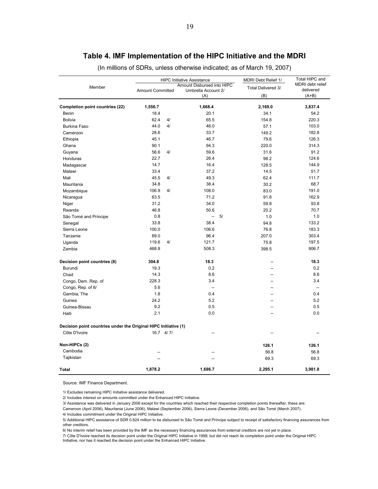|                                                                 |                         |    | <b>HIPC Initiative Assistance</b>                 | MDRI Debt Relief 1/      | Total HIPC and                |  |
|-----------------------------------------------------------------|-------------------------|----|---------------------------------------------------|--------------------------|-------------------------------|--|
| Member                                                          | <b>Amount Committed</b> |    | Amount Disbursed into HIPC<br>Umbrella Account 2/ | Total Delivered 3/       | MDRI debt relief<br>delivered |  |
|                                                                 |                         |    | (A)                                               | (B)                      | $(A+B)$                       |  |
| Completion point countries (22)                                 | 1,556.7                 |    | 1,668.4                                           | 2,169.0                  | 3,837.4                       |  |
| Benin                                                           | 18.4                    |    | 20.1                                              | 34.1                     | 54.2                          |  |
| <b>Bolivia</b>                                                  | 62.4                    | 4/ | 65.5                                              | 154.8                    | 220.3                         |  |
| <b>Burkina Faso</b>                                             | 44.0                    | 4/ | 46.0                                              | 57.1                     | 103.0                         |  |
| Cameroon                                                        | 28.6                    |    | 33.7                                              | 149.2                    | 182.8                         |  |
| Ethiopia                                                        | 45.1                    |    | 46.7                                              | 79.6                     | 126.3                         |  |
| Ghana                                                           | 90.1                    |    | 94.3                                              | 220.0                    | 314.3                         |  |
| Guyana                                                          | 56.6                    | 4/ | 59.6                                              | 31.6                     | 91.2                          |  |
| Honduras                                                        | 22.7                    |    | 26.4                                              | 98.2                     | 124.6                         |  |
| Madagascar                                                      | 14.7                    |    | 16.4                                              | 128.5                    | 144.9                         |  |
| Malawi                                                          | 33.4                    |    | 37.2                                              | 14.5                     | 51.7                          |  |
| Mali                                                            | 45.5                    | 4/ | 49.3                                              | 62.4                     | 111.7                         |  |
| Mauritania                                                      | 34.8                    |    | 38.4                                              | 30.2                     | 68.7                          |  |
| Mozambique                                                      | 106.9                   | 4/ | 108.0                                             | 83.0                     | 191.0                         |  |
| Nicaragua                                                       | 63.5                    |    | 71.2                                              | 91.8                     | 162.9                         |  |
| Niger                                                           | 31.2                    |    | 34.0                                              | 59.8                     | 93.8                          |  |
| Rwanda                                                          | 46.8                    |    | 50.6                                              | 20.2                     | 70.7                          |  |
| São Tomé and Príncipe                                           | 0.8                     |    | 5/<br>$\overline{\phantom{a}}$                    | 1.0                      | 1.0                           |  |
| Senegal                                                         | 33.8                    |    | 38.4                                              | 94.8                     | 133.2                         |  |
| Sierra Leone                                                    | 100.0                   |    | 106.6                                             | 76.8                     | 183.3                         |  |
| Tanzania                                                        | 89.0                    |    | 96.4                                              | 207.0                    | 303.4                         |  |
| Uganda                                                          | 119.6                   | 4/ | 121.7                                             | 75.8                     | 197.5                         |  |
| Zambia                                                          | 468.8                   |    | 508.3                                             | 398.5                    | 906.7                         |  |
| Decision point countries (8)                                    | 304.8                   |    | 18.3                                              |                          | 18.3                          |  |
| Burundi                                                         | 19.3                    |    | 0.2                                               | --                       | 0.2                           |  |
| Chad                                                            | 14.3                    |    | 8.6                                               | --                       | 8.6                           |  |
| Congo, Dem. Rep. of                                             | 228.3                   |    | 3.4                                               | −−                       | 3.4                           |  |
| Congo, Rep. of 6/                                               | 5.6                     |    | $\sim$                                            | $\overline{\phantom{a}}$ | $\overline{\phantom{a}}$      |  |
| Gambia, The                                                     | 1.8                     |    | 0.4                                               |                          | 0.4                           |  |
| Guinea                                                          | 24.2                    |    | 5.2                                               |                          | 5.2                           |  |
| Guinea-Bissau                                                   | 9.2                     |    | 0.5                                               | Ξ.                       | 0.5                           |  |
| Haiti                                                           | 2.1                     |    | 0.0                                               |                          | 0.0                           |  |
| Decision point countries under the Original HIPC Initiative (1) |                         |    |                                                   |                          |                               |  |
| Côte D'Ivoire                                                   | $16.7$ 4/7/             |    |                                                   |                          |                               |  |
| Non-HIPCs (2)                                                   |                         |    |                                                   | 126.1                    | 126.1                         |  |
| Cambodia                                                        |                         |    |                                                   | 56.8                     | 56.8                          |  |
| Tajikistan                                                      |                         |    |                                                   | 69.3                     | 69.3                          |  |
| <b>Total</b>                                                    | 1,878.2                 |    | 1,686.7                                           | 2.295.1                  | 3,981.8                       |  |

## **Table 4. IMF Implementation of the HIPC Initiative and the MDRI**

(In millions of SDRs, unless otherwise indicated; as of March 19, 2007)

Source: IMF Finance Department.

1/ Excludes remaining HIPC Initiative assistance delivered.

2/ Includes interest on amounts committed under the Enhanced HIPC Initiative.

3/ Assistance was delivered in January 2006 except for the countries which reached their respective completion points thereafter, these are:

4/ Includes commitment under the Original HIPC Initiative. Cameroon (April 2006), Mauritania (June 2006), Malawi (September 2006), Sierra Leone (December 2006), and São Tomé (March 2007).

5/ Additional HIPC assistance of SDR 0.824 million to be disbursed to São Tomé and Príncipe subject to receipt of satisfactory financing assurances from other creditors.

6/ No interim relief has been provided by the IMF as the necessary financing assurances from external creditors are not yet in place.

7/ Côte D'Ivoire reached its decision point under the Original HIPC Initiative in 1998; but did not reach its completion point under the Original HIPC Initiative, nor has it reached the decision point under the Enhanced HIPC Initiative.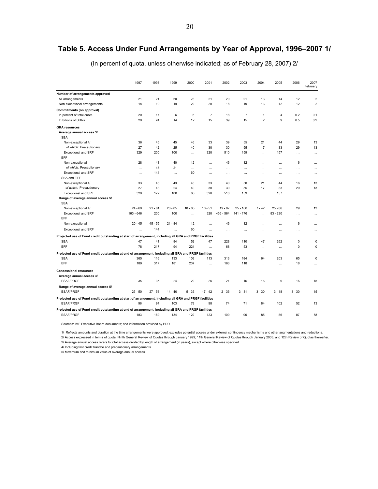# **Table 5. Access Under Fund Arrangements by Year of Approval, 1996–2007 1/**

|                                                                                                         | 1997        | 1998      | 1999      | 2000      | 2001           | 2002      | 2003           | 2004           | 2005       | 2006        | 2007<br>February        |
|---------------------------------------------------------------------------------------------------------|-------------|-----------|-----------|-----------|----------------|-----------|----------------|----------------|------------|-------------|-------------------------|
| Number of arrangements approved                                                                         |             |           |           |           |                |           |                |                |            |             |                         |
| All arrangements                                                                                        | 21          | 21        | 20        | 23        | 21             | 20        | 21             | 13             | 14         | 12          | $\overline{\mathbf{c}}$ |
| Non-exceptional arrangements                                                                            | 18          | 19        | 19        | 22        | 20             | 18        | 19             | 13             | 12         | 12          | $\overline{2}$          |
| Commitments (on approval)                                                                               |             |           |           |           |                |           |                |                |            |             |                         |
| In percent of total quota                                                                               | 20          | 17        | 6         | 6         | $\overline{7}$ | 18        | $\overline{7}$ | 1              | 4          | 0.2         | 0.1                     |
| In billions of SDRs                                                                                     | 29          | 24        | 14        | 12        | 15             | 39        | 15             | $\overline{2}$ | 9          | 0.5         | 0.2                     |
| <b>GRA</b> resources                                                                                    |             |           |           |           |                |           |                |                |            |             |                         |
| Average annual access 3/                                                                                |             |           |           |           |                |           |                |                |            |             |                         |
| <b>SBA</b>                                                                                              |             |           |           |           |                |           |                |                |            |             |                         |
| Non-exceptional 4/                                                                                      | 36          | 45        | 45        | 46        | 33             | 39        | 55             | 21             | 44         | 29          | 13                      |
| of which: Precautionary                                                                                 | 27          | 42        | 25        | 40        | 30             | 30        | 55             | 17             | 33         | 29          | 13                      |
| <b>Exceptional and SRF</b>                                                                              | 329         | 200       | 100       | $\cdots$  | 320            | 510       | 159            | $\cdots$       | 157        | $\ddotsc$   | $\cdots$                |
| EFF                                                                                                     |             |           |           |           |                |           |                |                |            |             |                         |
| Non-exceptional                                                                                         | 28          | 48        | 40        | 12        | $\cdots$       | 46        | 12             | $\cdots$       | $\cdots$   | 6           | $\cdots$                |
| of which: Precautionary                                                                                 | $\cdots$    | 45        | 21        |           | $\cdots$       | $\ddotsc$ | $\ddotsc$      | .              | .          | $\cdots$    |                         |
| <b>Exceptional and SRF</b>                                                                              | $\cdots$    | 144       | $\cdots$  | 60        | $\cdots$       | $\cdots$  | $\cdots$       | $\ddots$       | .          | $\cdots$    | $\cdots$                |
| SBA and EFF                                                                                             |             |           |           |           |                |           |                |                |            |             |                         |
| Non-exceptional 4/                                                                                      | 33          | 46        | 43        | 43        | 33             | 40        | 50             | 21             | 44         | 16          | 13                      |
| of which: Precautionary                                                                                 | 27<br>329   | 43<br>172 | 24<br>100 | 40<br>60  | 30             | 30<br>510 | 55<br>159      | 17             | 33         | 29          | 13                      |
| <b>Exceptional and SRF</b>                                                                              |             |           |           |           | 320            |           |                |                | 157        | $\ddotsc$   |                         |
| Range of average annual access 5/<br><b>SBA</b>                                                         |             |           |           |           |                |           |                |                |            |             |                         |
| Non-exceptional 4/                                                                                      | $24 - 69$   | $21 - 81$ | $20 - 85$ | $18 - 85$ | $16 - 51$      | $19 - 97$ | $25 - 100$     | $7 - 42$       | $25 - 86$  | 29          | 13                      |
| <b>Exceptional and SRF</b>                                                                              | $163 - 646$ | 200       | 100       | .         | 320            | 456 - 564 | 141 - 176      | $\ddotsc$      | $83 - 230$ | $\ddotsc$   |                         |
| EFF                                                                                                     |             |           |           |           |                |           |                |                |            |             |                         |
| Non-exceptional                                                                                         | $20 - 45$   | $45 - 55$ | $21 - 84$ | 12        | $\cdots$       | 46        | 12             | $\cdots$       | .          | 6           | $\cdots$                |
| <b>Exceptional and SRF</b>                                                                              | $\cdots$    | 144       | $\sim$    | 60        | $\sim$         | $\ddots$  | $\ddots$       | $\ddots$       | $\cdots$   | $\ddotsc$   |                         |
| Projected use of Fund credit outstanding at start of arrangement, including all GRA and PRGF facilities |             |           |           |           |                |           |                |                |            |             |                         |
| <b>SBA</b>                                                                                              | 47          | 41        | 84        | 52        | 47             | 228       | 110            | 47             | 262        | $\mathbf 0$ | 0                       |
| <b>EFF</b>                                                                                              | 78          | 217       | 94        | 224       | $\cdots$       | 68        | 53             |                | $\cdots$   | 0           | 0                       |
| Projected use of Fund credit outstanding at end of arrangement, including all GRA and PRGF facilities   |             |           |           |           |                |           |                |                |            |             |                         |
| <b>SBA</b>                                                                                              | 365         | 116       | 133       | 103       | 113            | 313       | 184            | 64             | 203        | 65          | 0                       |
| EFF                                                                                                     | 189         | 317       | 181       | 237       | $\cdots$       | 163       | 118            | $\cdots$       | $\cdots$   | 18          | $\cdots$                |
| <b>Concessional resources</b>                                                                           |             |           |           |           |                |           |                |                |            |             |                         |
| Average annual access 3/                                                                                |             |           |           |           |                |           |                |                |            |             |                         |
| <b>ESAF/PRGF</b>                                                                                        | 35          | 35        | 24        | 22        | 25             | 21        | 16             | 16             | 9          | 16          | 15                      |
| Range of average annual access 5/<br><b>ESAF/PRGF</b>                                                   | $25 - 50$   | $27 - 53$ | $14 - 40$ | $5 - 33$  | $17 - 42$      | $2 - 36$  | $3 - 31$       | $3 - 30$       | $3 - 18$   | $3 - 30$    | 15                      |
| Projected use of Fund credit outstanding at start of arrangement, including all GRA and PRGF facilities |             |           |           |           |                |           |                |                |            |             |                         |
| <b>ESAF/PRGF</b>                                                                                        | 96          | 94        | 103       | 78        | 98             | 74        | 71             | 84             | 102        | 52          | 13                      |
| Projected use of Fund credit outstanding at end of arrangement, including all GRA and PRGF facilities   |             |           |           |           |                |           |                |                |            |             |                         |
| <b>ESAF/PRGF</b>                                                                                        | 183         | 169       | 134       | 122       | 123            | 109       | 90             | 85             | 86         | 87          | 58                      |

(In percent of quota, unless otherwise indicated; as of February 28, 2007) 2/

Sources: IMF Executive Board documents; and information provided by PDR.

1/ Reflects amounts and duration at the time arrangements were approved; excludes potential access under external contingency mechanisms and other augmentations and reductions.

3/ Average annual access refers to total access divided by length of arrangement (in years), except where otherwise specified. 2/ Access expressed in terms of quota: Ninth General Review of Quotas through January 1999; 11th General Review of Quotas through January 2003; and 12th Review of Quotas thereafter.

4/ Including first credit tranche and precautionary arrangements.

5/ Maximum and minimum value of average annual access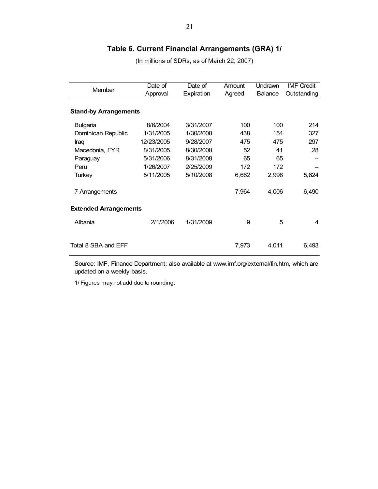# **Table 6. Current Financial Arrangements (GRA) 1/**

(In millions of SDRs, as of March 22, 2007)

| Member                       | Date of<br>Approval | Date of<br>Expiration | Amount<br>Agreed | Undrawn<br><b>Balance</b> | <b>IMF Credit</b><br>Outstanding |  |  |  |  |
|------------------------------|---------------------|-----------------------|------------------|---------------------------|----------------------------------|--|--|--|--|
|                              |                     |                       |                  |                           |                                  |  |  |  |  |
| <b>Stand-by Arrangements</b> |                     |                       |                  |                           |                                  |  |  |  |  |
| <b>Bulgaria</b>              | 8/6/2004            | 3/31/2007             | 100              | 100                       | 214                              |  |  |  |  |
| Dominican Republic           | 1/31/2005           | 1/30/2008             | 438              | 154                       | 327                              |  |  |  |  |
| Iraq                         | 12/23/2005          | 9/28/2007             | 475              | 475                       | 297                              |  |  |  |  |
| Macedonia, FYR               | 8/31/2005           | 8/30/2008             | 52               | 41                        | 28                               |  |  |  |  |
| Paraguay                     | 5/31/2006           | 8/31/2008             | 65               | 65                        |                                  |  |  |  |  |
| Peru                         | 1/26/2007           | 2/25/2009             | 172              | 172                       |                                  |  |  |  |  |
| <b>Turkey</b>                | 5/11/2005           | 5/10/2008             | 6,662            | 2,998                     | 5,624                            |  |  |  |  |
| 7 Arrangements               |                     |                       | 7,964            | 4,006                     | 6,490                            |  |  |  |  |
| <b>Extended Arrangements</b> |                     |                       |                  |                           |                                  |  |  |  |  |
| Albania                      | 2/1/2006            | 1/31/2009             | 9                | 5                         | 4                                |  |  |  |  |
| Total 8 SBA and EFF          |                     |                       | 7,973            | 4,011                     | 6,493                            |  |  |  |  |

Source: IMF, Finance Department; also available at www.imf.org/external/fin.htm, which are updated on a weekly basis.

1/ Figures may not add due to rounding.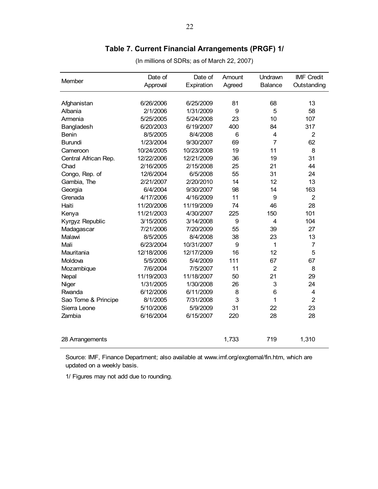# **Table 7. Current Financial Arrangements (PRGF) 1/**

| Member               | Date of    | Date of    | Amount | Undrawn                 | <b>IMF Credit</b> |
|----------------------|------------|------------|--------|-------------------------|-------------------|
|                      | Approval   | Expiration | Agreed | <b>Balance</b>          | Outstanding       |
|                      |            |            |        |                         |                   |
| Afghanistan          | 6/26/2006  | 6/25/2009  | 81     | 68                      | 13                |
| Albania              | 2/1/2006   | 1/31/2009  | 9      | 5                       | 58                |
| Armenia              | 5/25/2005  | 5/24/2008  | 23     | 10                      | 107               |
| Bangladesh           | 6/20/2003  | 6/19/2007  | 400    | 84                      | 317               |
| Benin                | 8/5/2005   | 8/4/2008   | 6      | $\overline{4}$          | $\overline{2}$    |
| <b>Burundi</b>       | 1/23/2004  | 9/30/2007  | 69     | $\overline{7}$          | 62                |
| Cameroon             | 10/24/2005 | 10/23/2008 | 19     | 11                      | 8                 |
| Central African Rep. | 12/22/2006 | 12/21/2009 | 36     | 19                      | 31                |
| Chad                 | 2/16/2005  | 2/15/2008  | 25     | 21                      | 44                |
| Congo, Rep. of       | 12/6/2004  | 6/5/2008   | 55     | 31                      | 24                |
| Gambia, The          | 2/21/2007  | 2/20/2010  | 14     | 12                      | 13                |
| Georgia              | 6/4/2004   | 9/30/2007  | 98     | 14                      | 163               |
| Grenada              | 4/17/2006  | 4/16/2009  | 11     | 9                       | $\overline{2}$    |
| Haiti                | 11/20/2006 | 11/19/2009 | 74     | 46                      | 28                |
| Kenya                | 11/21/2003 | 4/30/2007  | 225    | 150                     | 101               |
| Kyrgyz Republic      | 3/15/2005  | 3/14/2008  | 9      | $\overline{\mathbf{4}}$ | 104               |
| Madagascar           | 7/21/2006  | 7/20/2009  | 55     | 39                      | 27                |
| Malawi               | 8/5/2005   | 8/4/2008   | 38     | 23                      | 13                |
| Mali                 | 6/23/2004  | 10/31/2007 | 9      | 1                       | $\overline{7}$    |
| Mauritania           | 12/18/2006 | 12/17/2009 | 16     | 12                      | 5                 |
| Moldova              | 5/5/2006   | 5/4/2009   | 111    | 67                      | 67                |
| Mozambique           | 7/6/2004   | 7/5/2007   | 11     | $\overline{2}$          | 8                 |
| Nepal                | 11/19/2003 | 11/18/2007 | 50     | 21                      | 29                |
| Niger                | 1/31/2005  | 1/30/2008  | 26     | 3                       | 24                |
| Rwanda               | 6/12/2006  | 6/11/2009  | 8      | 6                       | 4                 |
| Sao Tome & Principe  | 8/1/2005   | 7/31/2008  | 3      | 1                       | $\overline{2}$    |
| Sierra Leone         | 5/10/2006  | 5/9/2009   | 31     | 22                      | 23                |
| Zambia               | 6/16/2004  | 6/15/2007  | 220    | 28                      | 28                |
| 28 Arrangements      |            |            | 1,733  | 719                     | 1,310             |

(In millions of SDRs; as of March 22, 2007)

Source: IMF, Finance Department; also available at www.imf.org/exgternal/fin.htm, which are updated on a weekly basis.

1/ Figures may not add due to rounding.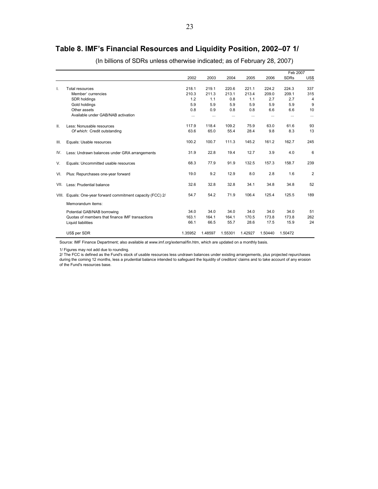# **Table 8. IMF's Financial Resources and Liquidity Position, 2002–07 1/**

|         |                                                       |          |          |          |          |          | Feb 2007    |                |
|---------|-------------------------------------------------------|----------|----------|----------|----------|----------|-------------|----------------|
|         |                                                       | 2002     | 2003     | 2004     | 2005     | 2006     | <b>SDRs</b> | US\$           |
| I.      | <b>Total resources</b>                                | 218.1    | 219.1    | 220.6    | 221.1    | 224.2    | 224.3       | 337            |
|         | Member' currencies                                    | 210.3    | 211.3    | 213.1    | 213.4    | 209.0    | 209.1       | 315            |
|         | SDR holdings                                          | 1.2      | 1.1      | 0.8      | 1.1      | 2.7      | 2.7         | $\overline{4}$ |
|         | Gold holdings                                         | 5.9      | 5.9      | 5.9      | 5.9      | 5.9      | 5.9         | 9              |
|         | Other assets                                          | 0.8      | 0.9      | 0.8      | 0.8      | 6.6      | 6.6         | 10             |
|         | Available under GAB/NAB activation                    | $\cdots$ | $\cdots$ | $\cdots$ | $\cdots$ | $\cdots$ |             | $\cdots$       |
| $\Pi$ . | Less: Nonusable resources                             | 117.9    | 118.4    | 109.2    | 75.9     | 63.0     | 61.6        | 93             |
|         | Of which: Credit outstanding                          | 63.6     | 65.0     | 55.4     | 28.4     | 9.8      | 8.3         | 13             |
| III.    | Equals: Usable resources                              | 100.2    | 100.7    | 111.3    | 145.2    | 161.2    | 162.7       | 245            |
| IV.     | Less: Undrawn balances under GRA arrangements         | 31.9     | 22.8     | 19.4     | 12.7     | 3.9      | 4.0         | 6              |
| V.      | Equals: Uncommitted usable resources                  | 68.3     | 77.9     | 91.9     | 132.5    | 157.3    | 158.7       | 239            |
| VI.     | Plus: Repurchases one-year forward                    | 19.0     | 9.2      | 12.9     | 8.0      | 2.8      | 1.6         | $\overline{2}$ |
| VII.    | Less: Prudential balance                              | 32.6     | 32.8     | 32.8     | 34.1     | 34.8     | 34.8        | 52             |
| VIII.   | Equals: One-year forward commitment capacity (FCC) 2/ | 54.7     | 54.2     | 71.9     | 106.4    | 125.4    | 125.5       | 189            |
|         | Memorandum items:                                     |          |          |          |          |          |             |                |
|         | Potential GAB/NAB borrowing                           | 34.0     | 34.0     | 34.0     | 34.0     | 34.0     | 34.0        | 51             |
|         | Quotas of members that finance IMF transactions       | 163.1    | 164.1    | 164.1    | 170.5    | 173.8    | 173.8       | 262            |
|         | Liquid liabilities                                    | 66.1     | 66.5     | 55.7     | 28.6     | 17.5     | 15.9        | 24             |
|         | US\$ per SDR                                          | 1.35952  | 1.48597  | 1.55301  | 1.42927  | 1.50440  | 1.50472     |                |

(In billions of SDRs unless otherwise indicated; as of February 28, 2007)

Source: IMF Finance Department; also available at www.imf.org/external/fin.htm, which are updated on a monthly basis.

1/ Figures may not add due to rounding.

of the Fund's resources base. 2/ The FCC is defined as the Fund's stock of usable resources less undrawn balances under existing arrangements, plus projected repurchases during the coming 12 months, less a prudential balance intended to safeguard the liquidity of creditors' claims and to take account of any erosion